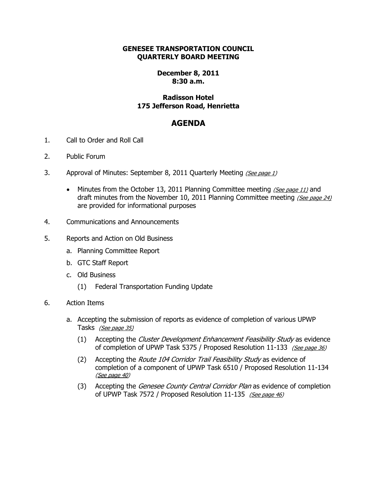## **GENESEE TRANSPORTATION COUNCIL QUARTERLY BOARD MEETING**

## **December 8, 2011 8:30 a.m.**

## **Radisson Hotel 175 Jefferson Road, Henrietta**

## **AGENDA**

- 1. Call to Order and Roll Call
- 2. Public Forum
- 3. Approval of Minutes: September 8, 2011 Quarterly Meeting (See page 1)
	- Minutes from the October 13, 2011 Planning Committee meeting (See page 11) and draft minutes from the November 10, 2011 Planning Committee meeting (See page 24) are provided for informational purposes
- 4. Communications and Announcements
- 5. Reports and Action on Old Business
	- a. Planning Committee Report
	- b. GTC Staff Report
	- c. Old Business
		- (1) Federal Transportation Funding Update
- 6. Action Items
	- a. Accepting the submission of reports as evidence of completion of various UPWP Tasks (See page 35)
		- (1) Accepting the Cluster Development Enhancement Feasibility Study as evidence of completion of UPWP Task 5375 / Proposed Resolution 11-133 (See page 36)
		- (2) Accepting the *Route 104 Corridor Trail Feasibility Study* as evidence of completion of a component of UPWP Task 6510 / Proposed Resolution 11-134 (See page 40)
		- (3) Accepting the Genesee County Central Corridor Plan as evidence of completion of UPWP Task 7572 / Proposed Resolution 11-135 (See page 46)